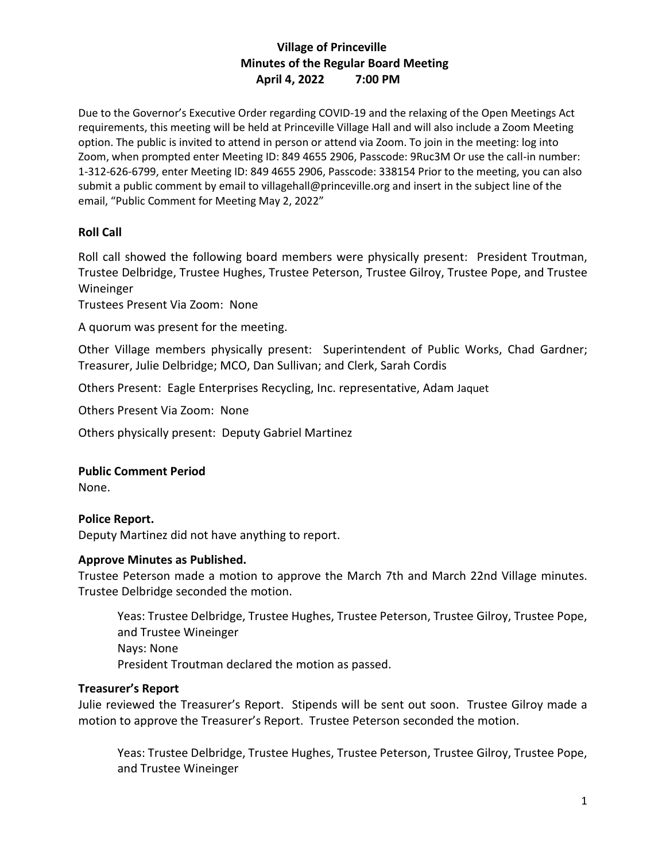# **Village of Princeville Minutes of the Regular Board Meeting April 4, 2022 7:00 PM**

Due to the Governor's Executive Order regarding COVID-19 and the relaxing of the Open Meetings Act requirements, this meeting will be held at Princeville Village Hall and will also include a Zoom Meeting option. The public is invited to attend in person or attend via Zoom. To join in the meeting: log into Zoom, when prompted enter Meeting ID: 849 4655 2906, Passcode: 9Ruc3M Or use the call-in number: 1-312-626-6799, enter Meeting ID: 849 4655 2906, Passcode: 338154 Prior to the meeting, you can also submit a public comment by email to villagehall@princeville.org and insert in the subject line of the email, "Public Comment for Meeting May 2, 2022"

## **Roll Call**

Roll call showed the following board members were physically present: President Troutman, Trustee Delbridge, Trustee Hughes, Trustee Peterson, Trustee Gilroy, Trustee Pope, and Trustee Wineinger

Trustees Present Via Zoom: None

A quorum was present for the meeting.

Other Village members physically present: Superintendent of Public Works, Chad Gardner; Treasurer, Julie Delbridge; MCO, Dan Sullivan; and Clerk, Sarah Cordis

Others Present: Eagle Enterprises Recycling, Inc. representative, Adam Jaquet

Others Present Via Zoom: None

Others physically present: Deputy Gabriel Martinez

### **Public Comment Period**

None.

#### **Police Report.**

Deputy Martinez did not have anything to report.

#### **Approve Minutes as Published.**

Trustee Peterson made a motion to approve the March 7th and March 22nd Village minutes. Trustee Delbridge seconded the motion.

Yeas: Trustee Delbridge, Trustee Hughes, Trustee Peterson, Trustee Gilroy, Trustee Pope, and Trustee Wineinger Nays: None President Troutman declared the motion as passed.

#### **Treasurer's Report**

Julie reviewed the Treasurer's Report. Stipends will be sent out soon. Trustee Gilroy made a motion to approve the Treasurer's Report. Trustee Peterson seconded the motion.

Yeas: Trustee Delbridge, Trustee Hughes, Trustee Peterson, Trustee Gilroy, Trustee Pope, and Trustee Wineinger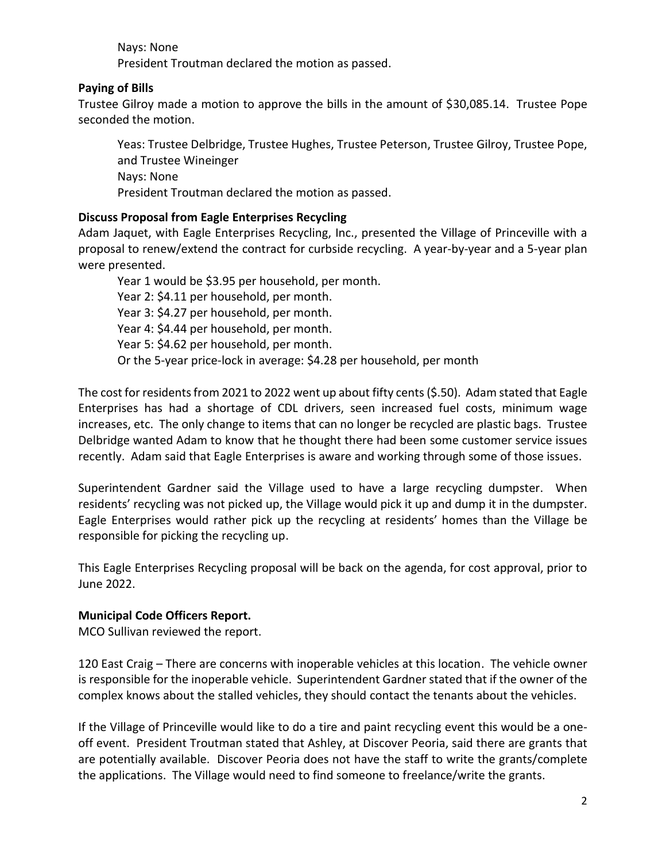Nays: None

President Troutman declared the motion as passed.

# **Paying of Bills**

Trustee Gilroy made a motion to approve the bills in the amount of \$30,085.14. Trustee Pope seconded the motion.

Yeas: Trustee Delbridge, Trustee Hughes, Trustee Peterson, Trustee Gilroy, Trustee Pope, and Trustee Wineinger Nays: None President Troutman declared the motion as passed.

### **Discuss Proposal from Eagle Enterprises Recycling**

Adam Jaquet, with Eagle Enterprises Recycling, Inc., presented the Village of Princeville with a proposal to renew/extend the contract for curbside recycling. A year-by-year and a 5-year plan were presented.

Year 1 would be \$3.95 per household, per month. Year 2: \$4.11 per household, per month. Year 3: \$4.27 per household, per month. Year 4: \$4.44 per household, per month. Year 5: \$4.62 per household, per month. Or the 5-year price-lock in average: \$4.28 per household, per month

The cost for residents from 2021 to 2022 went up about fifty cents(\$.50). Adam stated that Eagle Enterprises has had a shortage of CDL drivers, seen increased fuel costs, minimum wage increases, etc. The only change to items that can no longer be recycled are plastic bags. Trustee Delbridge wanted Adam to know that he thought there had been some customer service issues recently. Adam said that Eagle Enterprises is aware and working through some of those issues.

Superintendent Gardner said the Village used to have a large recycling dumpster. When residents' recycling was not picked up, the Village would pick it up and dump it in the dumpster. Eagle Enterprises would rather pick up the recycling at residents' homes than the Village be responsible for picking the recycling up.

This Eagle Enterprises Recycling proposal will be back on the agenda, for cost approval, prior to June 2022.

# **Municipal Code Officers Report.**

MCO Sullivan reviewed the report.

120 East Craig – There are concerns with inoperable vehicles at this location. The vehicle owner is responsible for the inoperable vehicle. Superintendent Gardner stated that if the owner of the complex knows about the stalled vehicles, they should contact the tenants about the vehicles.

If the Village of Princeville would like to do a tire and paint recycling event this would be a oneoff event. President Troutman stated that Ashley, at Discover Peoria, said there are grants that are potentially available. Discover Peoria does not have the staff to write the grants/complete the applications. The Village would need to find someone to freelance/write the grants.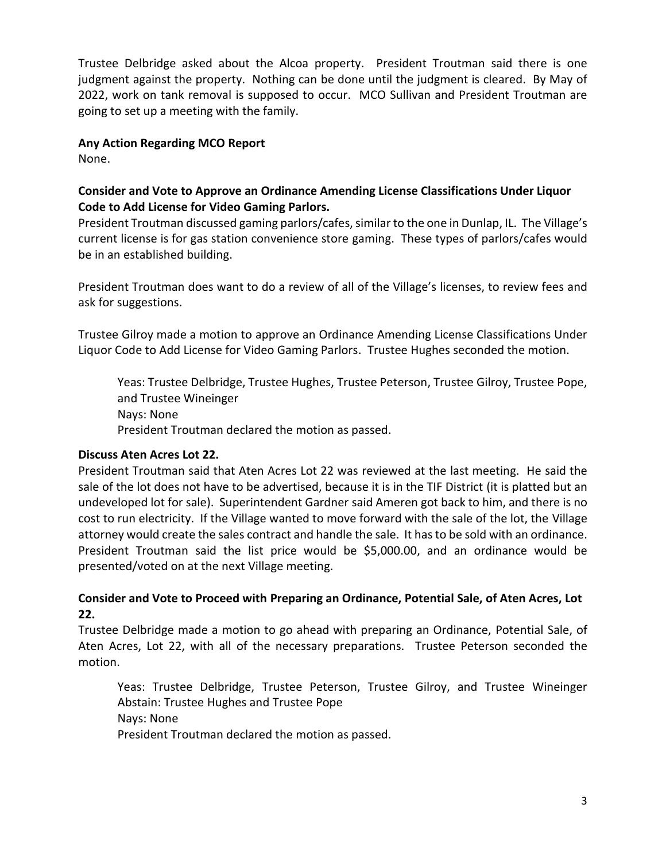Trustee Delbridge asked about the Alcoa property. President Troutman said there is one judgment against the property. Nothing can be done until the judgment is cleared. By May of 2022, work on tank removal is supposed to occur. MCO Sullivan and President Troutman are going to set up a meeting with the family.

## **Any Action Regarding MCO Report**

None.

# **Consider and Vote to Approve an Ordinance Amending License Classifications Under Liquor Code to Add License for Video Gaming Parlors.**

President Troutman discussed gaming parlors/cafes, similar to the one in Dunlap, IL. The Village's current license is for gas station convenience store gaming. These types of parlors/cafes would be in an established building.

President Troutman does want to do a review of all of the Village's licenses, to review fees and ask for suggestions.

Trustee Gilroy made a motion to approve an Ordinance Amending License Classifications Under Liquor Code to Add License for Video Gaming Parlors. Trustee Hughes seconded the motion.

Yeas: Trustee Delbridge, Trustee Hughes, Trustee Peterson, Trustee Gilroy, Trustee Pope, and Trustee Wineinger Nays: None President Troutman declared the motion as passed.

# **Discuss Aten Acres Lot 22.**

President Troutman said that Aten Acres Lot 22 was reviewed at the last meeting. He said the sale of the lot does not have to be advertised, because it is in the TIF District (it is platted but an undeveloped lot for sale). Superintendent Gardner said Ameren got back to him, and there is no cost to run electricity. If the Village wanted to move forward with the sale of the lot, the Village attorney would create the sales contract and handle the sale. It has to be sold with an ordinance. President Troutman said the list price would be \$5,000.00, and an ordinance would be presented/voted on at the next Village meeting.

# **Consider and Vote to Proceed with Preparing an Ordinance, Potential Sale, of Aten Acres, Lot 22.**

Trustee Delbridge made a motion to go ahead with preparing an Ordinance, Potential Sale, of Aten Acres, Lot 22, with all of the necessary preparations. Trustee Peterson seconded the motion.

Yeas: Trustee Delbridge, Trustee Peterson, Trustee Gilroy, and Trustee Wineinger Abstain: Trustee Hughes and Trustee Pope Nays: None President Troutman declared the motion as passed.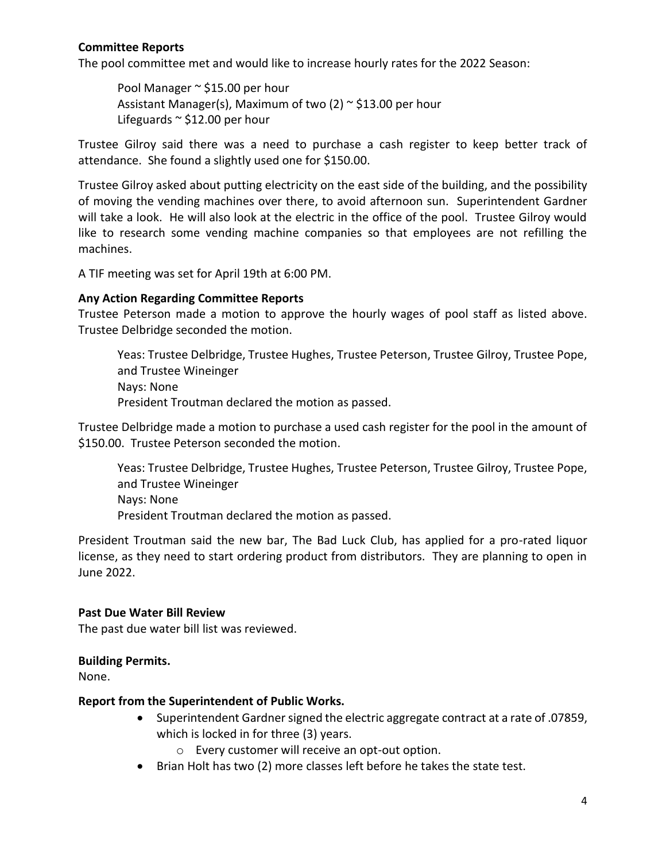## **Committee Reports**

The pool committee met and would like to increase hourly rates for the 2022 Season:

Pool Manager ~ \$15.00 per hour Assistant Manager(s), Maximum of two (2)  $\approx$  \$13.00 per hour Lifeguards  $\sim$  \$12.00 per hour

Trustee Gilroy said there was a need to purchase a cash register to keep better track of attendance. She found a slightly used one for \$150.00.

Trustee Gilroy asked about putting electricity on the east side of the building, and the possibility of moving the vending machines over there, to avoid afternoon sun. Superintendent Gardner will take a look. He will also look at the electric in the office of the pool. Trustee Gilroy would like to research some vending machine companies so that employees are not refilling the machines.

A TIF meeting was set for April 19th at 6:00 PM.

#### **Any Action Regarding Committee Reports**

Trustee Peterson made a motion to approve the hourly wages of pool staff as listed above. Trustee Delbridge seconded the motion.

Yeas: Trustee Delbridge, Trustee Hughes, Trustee Peterson, Trustee Gilroy, Trustee Pope, and Trustee Wineinger Nays: None President Troutman declared the motion as passed.

Trustee Delbridge made a motion to purchase a used cash register for the pool in the amount of \$150.00. Trustee Peterson seconded the motion.

Yeas: Trustee Delbridge, Trustee Hughes, Trustee Peterson, Trustee Gilroy, Trustee Pope, and Trustee Wineinger Nays: None President Troutman declared the motion as passed.

President Troutman said the new bar, The Bad Luck Club, has applied for a pro-rated liquor license, as they need to start ordering product from distributors. They are planning to open in June 2022.

#### **Past Due Water Bill Review**

The past due water bill list was reviewed.

#### **Building Permits.**

None.

#### **Report from the Superintendent of Public Works.**

- Superintendent Gardner signed the electric aggregate contract at a rate of .07859, which is locked in for three (3) years.
	- o Every customer will receive an opt-out option.
- Brian Holt has two (2) more classes left before he takes the state test.